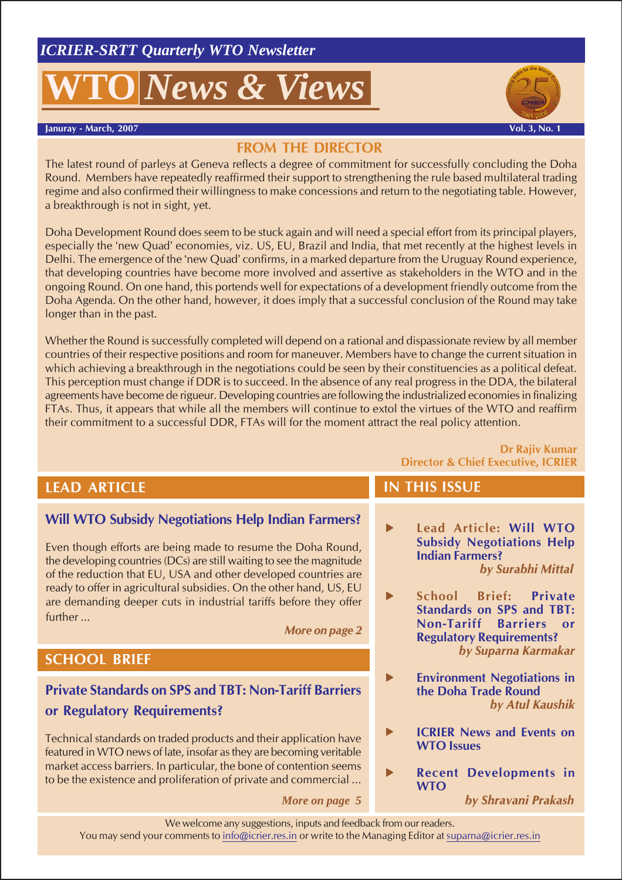# *News & Views*





# **FROM THE DIRECTOR**

The latest round of parleys at Geneva reflects a degree of commitment for successfully concluding the Doha Round. Members have repeatedly reaffirmed their support to strengthening the rule based multilateral trading regime and also confirmed their willingness to make concessions and return to the negotiating table. However, a breakthrough is not in sight, yet.

Doha Development Round does seem to be stuck again and will need a special effort from its principal players, especially the 'new Quad' economies, viz. US, EU, Brazil and India, that met recently at the highest levels in Delhi. The emergence of the 'new Quad' confirms, in a marked departure from the Uruguay Round experience, that developing countries have become more involved and assertive as stakeholders in the WTO and in the ongoing Round. On one hand, this portends well for expectations of a development friendly outcome from the Doha Agenda. On the other hand, however, it does imply that a successful conclusion of the Round may take longer than in the past.

Whether the Round is successfully completed will depend on a rational and dispassionate review by all member countries of their respective positions and room for maneuver. Members have to change the current situation in which achieving a breakthrough in the negotiations could be seen by their constituencies as a political defeat. This perception must change if DDR is to succeed. In the absence of any real progress in the DDA, the bilateral agreements have become de rigueur. Developing countries are following the industrialized economies in finalizing FTAs. Thus, it appears that while all the members will continue to extol the virtues of the WTO and reaffirm their commitment to a successful DDR, FTAs will for the moment attract the real policy attention.

#### **Dr Rajiv Kumar Director & Chief Executive, ICRIER**

# **LEAD ARTICLE**

# **Will WTO Subsidy Negotiations Help Indian Farmers?**

Even though efforts are being made to resume the Doha Round, the developing countries (DCs) are still waiting to see the magnitude of the reduction that EU, USA and other developed countries are ready to offer in agricultural subsidies. On the other hand, US, EU are demanding deeper cuts in industrial tariffs before they offer further ...

*More on page 2*

# **SCHOOL BRIEF**

# **Private Standards on SPS and TBT: Non-Tariff Barriers or Regulatory Requirements?**

Technical standards on traded products and their application have featured in WTO news of late, insofar as they are becoming veritable market access barriers. In particular, the bone of contention seems to be the existence and proliferation of private and commercial ...

 *More on page 5*

# **IN THIS ISSUE**

- **F** Lead Article: Will WTO **Subsidy Negotiations Help Indian Farmers?** *by Surabhi Mittal*
	- f **School Brief: Private Standards on SPS and TBT: Non-Tariff Barriers or Regulatory Requirements?** *by Suparna Karmakar*
	- **Environment Negotiations in the Doha Trade Round** *by Atul Kaushik*
- **F ICRIER** News and Events on **WTO Issues**
- **Recent Developments in WTO**

We welcome any suggestions, inputs and feedback from our readers. You may send your comments to info@icrier.res.in or write to the Managing Editor at suparna@icrier.res.in

*by Shravani Prakash*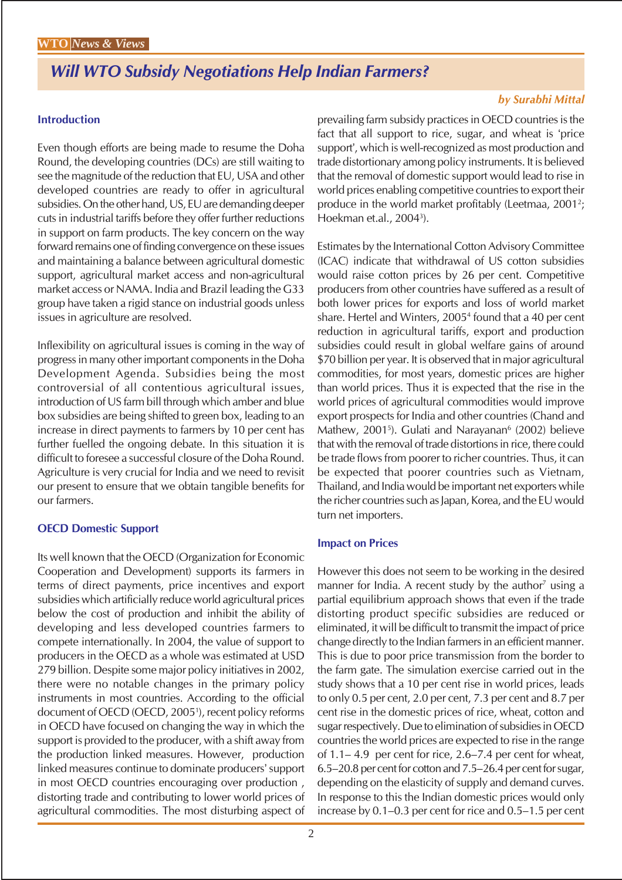# *Will WTO Subsidy Negotiations Help Indian Farmers?*

#### **Introduction**

Even though efforts are being made to resume the Doha Round, the developing countries (DCs) are still waiting to see the magnitude of the reduction that EU, USA and other developed countries are ready to offer in agricultural subsidies. On the other hand, US, EU are demanding deeper cuts in industrial tariffs before they offer further reductions in support on farm products. The key concern on the way forward remains one of finding convergence on these issues and maintaining a balance between agricultural domestic support, agricultural market access and non-agricultural market access or NAMA. India and Brazil leading the G33 group have taken a rigid stance on industrial goods unless issues in agriculture are resolved.

Inflexibility on agricultural issues is coming in the way of progress in many other important components in the Doha Development Agenda. Subsidies being the most controversial of all contentious agricultural issues, introduction of US farm bill through which amber and blue box subsidies are being shifted to green box, leading to an increase in direct payments to farmers by 10 per cent has further fuelled the ongoing debate. In this situation it is difficult to foresee a successful closure of the Doha Round. Agriculture is very crucial for India and we need to revisit our present to ensure that we obtain tangible benefits for our farmers.

#### **OECD Domestic Support**

Its well known that the OECD (Organization for Economic Cooperation and Development) supports its farmers in terms of direct payments, price incentives and export subsidies which artificially reduce world agricultural prices below the cost of production and inhibit the ability of developing and less developed countries farmers to compete internationally. In 2004, the value of support to producers in the OECD as a whole was estimated at USD 279 billion. Despite some major policy initiatives in 2002, there were no notable changes in the primary policy instruments in most countries. According to the official document of OECD (OECD, 2005<sup>1</sup>), recent policy reforms in OECD have focused on changing the way in which the support is provided to the producer, with a shift away from the production linked measures. However, production linked measures continue to dominate producers' support in most OECD countries encouraging over production , distorting trade and contributing to lower world prices of agricultural commodities. The most disturbing aspect of

## *by Surabhi Mittal*

prevailing farm subsidy practices in OECD countries is the fact that all support to rice, sugar, and wheat is 'price support', which is well-recognized as most production and trade distortionary among policy instruments. It is believed that the removal of domestic support would lead to rise in world prices enabling competitive countries to export their produce in the world market profitably (Leetmaa, 2001<sup>2</sup>; Hoekman et.al., 20043 ).

Estimates by the International Cotton Advisory Committee (ICAC) indicate that withdrawal of US cotton subsidies would raise cotton prices by 26 per cent. Competitive producers from other countries have suffered as a result of both lower prices for exports and loss of world market share. Hertel and Winters, 2005<sup>4</sup> found that a 40 per cent reduction in agricultural tariffs, export and production subsidies could result in global welfare gains of around \$70 billion per year. It is observed that in major agricultural commodities, for most years, domestic prices are higher than world prices. Thus it is expected that the rise in the world prices of agricultural commodities would improve export prospects for India and other countries (Chand and Mathew, 2001<sup>5</sup>). Gulati and Narayanan<sup>6</sup> (2002) believe that with the removal of trade distortions in rice, there could be trade flows from poorer to richer countries. Thus, it can be expected that poorer countries such as Vietnam, Thailand, and India would be important net exporters while the richer countries such as Japan, Korea, and the EU would turn net importers.

#### **Impact on Prices**

However this does not seem to be working in the desired manner for India. A recent study by the author<sup>7</sup> using a partial equilibrium approach shows that even if the trade distorting product specific subsidies are reduced or eliminated, it will be difficult to transmit the impact of price change directly to the Indian farmers in an efficient manner. This is due to poor price transmission from the border to the farm gate. The simulation exercise carried out in the study shows that a 10 per cent rise in world prices, leads to only 0.5 per cent, 2.0 per cent, 7.3 per cent and 8.7 per cent rise in the domestic prices of rice, wheat, cotton and sugar respectively. Due to elimination of subsidies in OECD countries the world prices are expected to rise in the range of 1.1– 4.9 per cent for rice, 2.6–7.4 per cent for wheat, 6.5–20.8 per cent for cotton and 7.5–26.4 per cent for sugar, depending on the elasticity of supply and demand curves. In response to this the Indian domestic prices would only increase by 0.1–0.3 per cent for rice and 0.5–1.5 per cent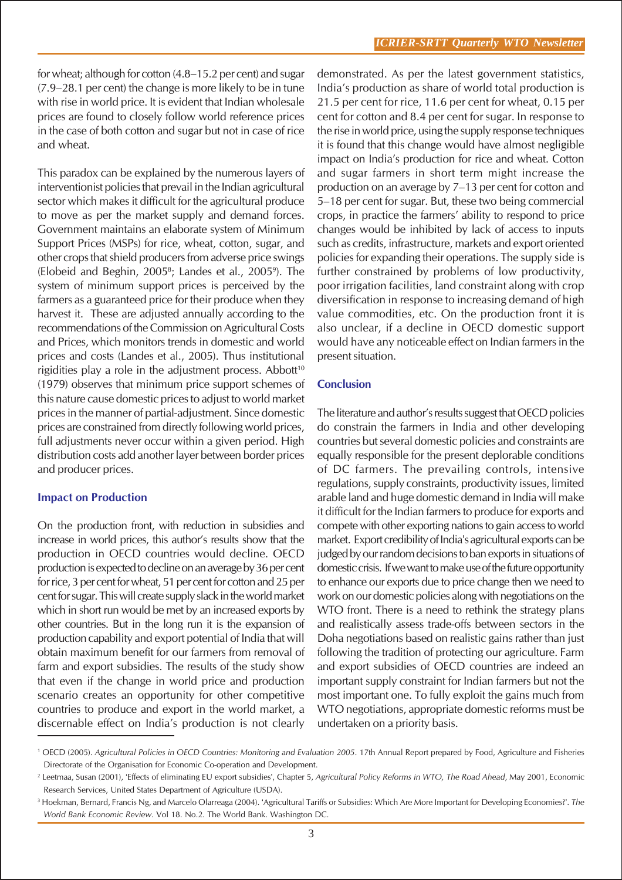for wheat; although for cotton (4.8–15.2 per cent) and sugar (7.9–28.1 per cent) the change is more likely to be in tune with rise in world price. It is evident that Indian wholesale prices are found to closely follow world reference prices in the case of both cotton and sugar but not in case of rice and wheat.

This paradox can be explained by the numerous layers of interventionist policies that prevail in the Indian agricultural sector which makes it difficult for the agricultural produce to move as per the market supply and demand forces. Government maintains an elaborate system of Minimum Support Prices (MSPs) for rice, wheat, cotton, sugar, and other crops that shield producers from adverse price swings (Elobeid and Beghin, 2005<sup>8</sup>; Landes et al., 2005<sup>9</sup>). The system of minimum support prices is perceived by the farmers as a guaranteed price for their produce when they harvest it. These are adjusted annually according to the recommendations of the Commission on Agricultural Costs and Prices, which monitors trends in domestic and world prices and costs (Landes et al., 2005). Thus institutional rigidities play a role in the adjustment process. Abbott<sup>10</sup> (1979) observes that minimum price support schemes of this nature cause domestic prices to adjust to world market prices in the manner of partial-adjustment. Since domestic prices are constrained from directly following world prices, full adjustments never occur within a given period. High distribution costs add another layer between border prices and producer prices.

## **Impact on Production**

On the production front, with reduction in subsidies and increase in world prices, this author's results show that the production in OECD countries would decline. OECD production is expected to decline on an average by 36 per cent for rice, 3 per cent for wheat, 51 per cent for cotton and 25 per cent for sugar. This will create supply slack in the world market which in short run would be met by an increased exports by other countries. But in the long run it is the expansion of production capability and export potential of India that will obtain maximum benefit for our farmers from removal of farm and export subsidies. The results of the study show that even if the change in world price and production scenario creates an opportunity for other competitive countries to produce and export in the world market, a discernable effect on India's production is not clearly

demonstrated. As per the latest government statistics, India's production as share of world total production is 21.5 per cent for rice, 11.6 per cent for wheat, 0.15 per cent for cotton and 8.4 per cent for sugar. In response to the rise in world price, using the supply response techniques it is found that this change would have almost negligible impact on India's production for rice and wheat. Cotton and sugar farmers in short term might increase the production on an average by 7–13 per cent for cotton and 5–18 per cent for sugar. But, these two being commercial crops, in practice the farmers' ability to respond to price changes would be inhibited by lack of access to inputs such as credits, infrastructure, markets and export oriented policies for expanding their operations. The supply side is further constrained by problems of low productivity, poor irrigation facilities, land constraint along with crop diversification in response to increasing demand of high value commodities, etc. On the production front it is also unclear, if a decline in OECD domestic support would have any noticeable effect on Indian farmers in the present situation.

#### **Conclusion**

The literature and author's results suggest that OECD policies do constrain the farmers in India and other developing countries but several domestic policies and constraints are equally responsible for the present deplorable conditions of DC farmers. The prevailing controls, intensive regulations, supply constraints, productivity issues, limited arable land and huge domestic demand in India will make it difficult for the Indian farmers to produce for exports and compete with other exporting nations to gain access to world market. Export credibility of India's agricultural exports can be judged by our random decisions to ban exports in situations of domestic crisis. If we want to make use of the future opportunity to enhance our exports due to price change then we need to work on our domestic policies along with negotiations on the WTO front. There is a need to rethink the strategy plans and realistically assess trade-offs between sectors in the Doha negotiations based on realistic gains rather than just following the tradition of protecting our agriculture. Farm and export subsidies of OECD countries are indeed an important supply constraint for Indian farmers but not the most important one. To fully exploit the gains much from WTO negotiations, appropriate domestic reforms must be undertaken on a priority basis.

<sup>1</sup> OECD (2005). *Agricultural Policies in OECD Countries: Monitoring and Evaluation 2005*. 17th Annual Report prepared by Food, Agriculture and Fisheries Directorate of the Organisation for Economic Co-operation and Development.

<sup>2</sup> Leetmaa, Susan (2001), 'Effects of eliminating EU export subsidies', Chapter 5, *Agricultural Policy Reforms in WTO, The Road Ahead*, May 2001, Economic Research Services, United States Department of Agriculture (USDA).

<sup>3</sup> Hoekman, Bernard, Francis Ng, and Marcelo Olarreaga (2004). 'Agricultural Tariffs or Subsidies: Which Are More Important for Developing Economies?'. *The World Bank Economic Review*. Vol 18. No.2. The World Bank. Washington DC.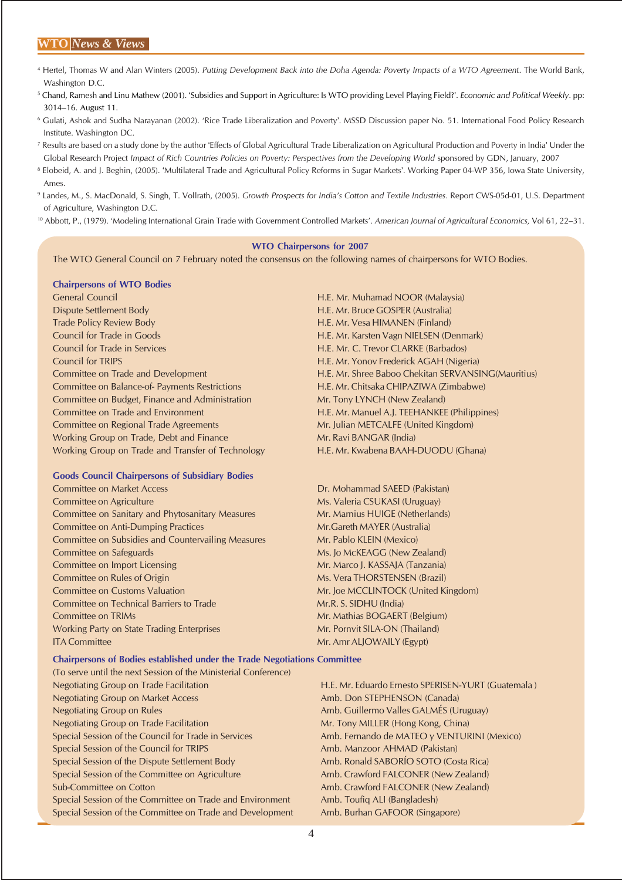#### **WTO** *News & Views*

- 4 Hertel, Thomas W and Alan Winters (2005). *Putting Development Back into the Doha Agenda: Poverty Impacts of a WTO Agreement*. The World Bank, Washington D.C.
- 5 Chand, Ramesh and Linu Mathew (2001). 'Subsidies and Support in Agriculture: Is WTO providing Level Playing Field?'. *Economic and Political Weekly*. pp: 3014–16. August 11.
- 6 Gulati, Ashok and Sudha Narayanan (2002). 'Rice Trade Liberalization and Poverty'. MSSD Discussion paper No. 51. International Food Policy Research Institute. Washington DC.
- 7 Results are based on a study done by the author 'Effects of Global Agricultural Trade Liberalization on Agricultural Production and Poverty in India' Under the Global Research Project *Impact of Rich Countries Policies on Poverty: Perspectives from the Developing World sponsored by GDN, January, 2007*
- <sup>8</sup> Elobeid, A. and I. Beghin, (2005). 'Multilateral Trade and Agricultural Policy Reforms in Sugar Markets'. Working Paper 04-WP 356, Iowa State University, Ames.
- 9 Landes, M., S. MacDonald, S. Singh, T. Vollrath, (2005). *Growth Prospects for India's Cotton and Textile Industries*. Report CWS-05d-01, U.S. Department of Agriculture, Washington D.C.
- 10 Abbott, P., (1979). 'Modeling International Grain Trade with Government Controlled Markets'. *American Journal of Agricultural Economics,* Vol 61, 22–31.

#### **WTO Chairpersons for 2007**

The WTO General Council on 7 February noted the consensus on the following names of chairpersons for WTO Bodies.

#### **Chairpersons of WTO Bodies**

General Council H.E. Mr. Muhamad NOOR (Malaysia) Dispute Settlement Body H.E. Mr. Bruce GOSPER (Australia) Trade Policy Review Body H.E. Mr. Vesa HIMANEN (Finland) Council for Trade in Goods H.E. Mr. Karsten Vagn NIELSEN (Denmark) Council for Trade in Services H.E. Mr. C. Trevor CLARKE (Barbados) Council for TRIPS H.E. Mr. Yonov Frederick AGAH (Nigeria) Committee on Balance-of- Payments Restrictions H.E. Mr. Chitsaka CHIPAZIWA (Zimbabwe) Committee on Budget, Finance and Administration Mr. Tony LYNCH (New Zealand) Committee on Trade and Environment H.E. Mr. Manuel A.J. TEEHANKEE (Philippines) Committee on Regional Trade Agreements Mr. Julian METCALFE (United Kingdom) Working Group on Trade, Debt and Finance Mr. Ravi BANGAR (India) Working Group on Trade and Transfer of Technology H.E. Mr. Kwabena BAAH-DUODU (Ghana)

#### **Goods Council Chairpersons of Subsidiary Bodies**

- Committee on Market Access Dr. Mohammad SAEED (Pakistan) Committee on Agriculture Ms. Valeria CSUKASI (Uruguay) Committee on Sanitary and Phytosanitary Measures Mr. Marnius HUIGE (Netherlands) Committee on Anti-Dumping Practices Mr.Gareth MAYER (Australia) Committee on Subsidies and Countervailing Measures Mr. Pablo KLEIN (Mexico) Committee on Safeguards **Ms. Jo McKEAGG** (New Zealand) Committee on Import Licensing Mr. Marco J. KASSAJA (Tanzania) Committee on Rules of Origin Ms. Vera THORSTENSEN (Brazil) Committee on Customs Valuation Mr. Joe MCCLINTOCK (United Kingdom) Committee on Technical Barriers to Trade Mr.R. S. SIDHU (India) Committee on TRIMs **Mr. Mathias BOGAERT** (Belgium) Working Party on State Trading Enterprises Mr. Pornvit SILA-ON (Thailand) ITA Committee Mr. Amr ALJOWAILY (Egypt)
- Committee on Trade and Development H.E. Mr. Shree Baboo Chekitan SERVANSING(Mauritius)

#### **Chairpersons of Bodies established under the Trade Negotiations Committee**

(To serve until the next Session of the Ministerial Conference) Negotiating Group on Trade Facilitation **H.E. Mr. Eduardo Ernesto SPERISEN-YURT** (Guatemala ) Negotiating Group on Market Access **Amb. Don STEPHENSON (Canada)** Negotiating Group on Rules Amb. Guillermo Valles GALMÉS (Uruguay) Negotiating Group on Trade Facilitation Mr. Tony MILLER (Hong Kong, China) Special Session of the Council for Trade in Services Amb. Fernando de MATEO y VENTURINI (Mexico) Special Session of the Council for TRIPS Amb. Manzoor AHMAD (Pakistan) Special Session of the Dispute Settlement Body Amb. Ronald SABORÍO SOTO (Costa Rica) Special Session of the Committee on Agriculture Amb. Crawford FALCONER (New Zealand) Sub-Committee on Cotton **Amb. Crawford FALCONER** (New Zealand) Special Session of the Committee on Trade and Environment Amb. Toufiq ALI (Bangladesh) Special Session of the Committee on Trade and Development Amb. Burhan GAFOOR (Singapore)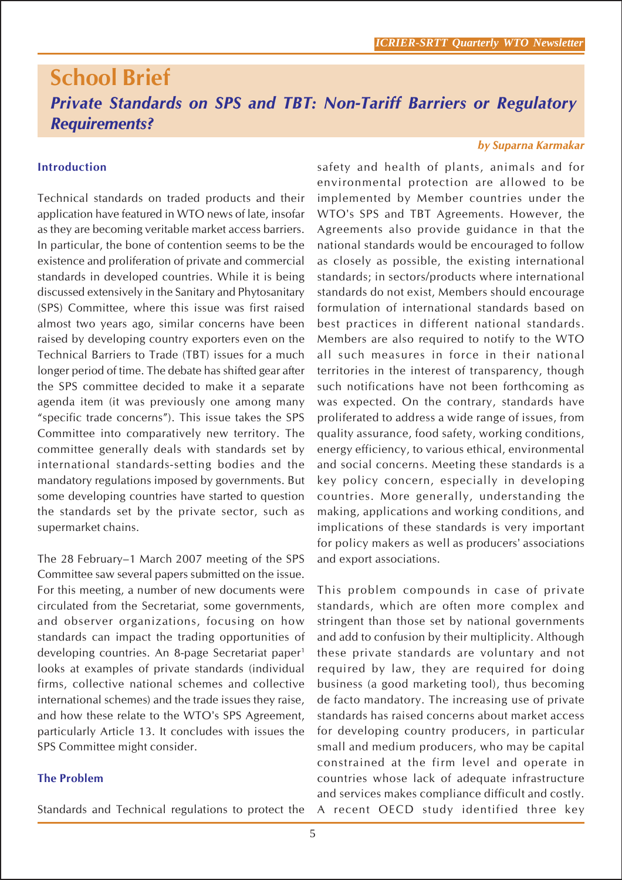# **School Brief** *Private Standards on SPS and TBT: Non-Tariff Barriers or Regulatory Requirements?*

#### **Introduction**

Technical standards on traded products and their application have featured in WTO news of late, insofar as they are becoming veritable market access barriers. In particular, the bone of contention seems to be the existence and proliferation of private and commercial standards in developed countries. While it is being discussed extensively in the Sanitary and Phytosanitary (SPS) Committee, where this issue was first raised almost two years ago, similar concerns have been raised by developing country exporters even on the Technical Barriers to Trade (TBT) issues for a much longer period of time. The debate has shifted gear after the SPS committee decided to make it a separate agenda item (it was previously one among many "specific trade concerns"). This issue takes the SPS Committee into comparatively new territory. The committee generally deals with standards set by international standards-setting bodies and the mandatory regulations imposed by governments. But some developing countries have started to question the standards set by the private sector, such as supermarket chains.

The 28 February–1 March 2007 meeting of the SPS Committee saw several papers submitted on the issue. For this meeting, a number of new documents were circulated from the Secretariat, some governments, and observer organizations, focusing on how standards can impact the trading opportunities of developing countries. An 8-page Secretariat paper1 looks at examples of private standards (individual firms, collective national schemes and collective international schemes) and the trade issues they raise, and how these relate to the WTO's SPS Agreement, particularly Article 13. It concludes with issues the SPS Committee might consider.

#### **The Problem**

Standards and Technical regulations to protect the

#### *by Suparna Karmakar*

safety and health of plants, animals and for environmental protection are allowed to be implemented by Member countries under the WTO's SPS and TBT Agreements. However, the Agreements also provide guidance in that the national standards would be encouraged to follow as closely as possible, the existing international standards; in sectors/products where international standards do not exist, Members should encourage formulation of international standards based on best practices in different national standards. Members are also required to notify to the WTO all such measures in force in their national territories in the interest of transparency, though such notifications have not been forthcoming as was expected. On the contrary, standards have proliferated to address a wide range of issues, from quality assurance, food safety, working conditions, energy efficiency, to various ethical, environmental and social concerns. Meeting these standards is a key policy concern, especially in developing countries. More generally, understanding the making, applications and working conditions, and implications of these standards is very important for policy makers as well as producers' associations and export associations.

This problem compounds in case of private standards, which are often more complex and stringent than those set by national governments and add to confusion by their multiplicity. Although these private standards are voluntary and not required by law, they are required for doing business (a good marketing tool), thus becoming de facto mandatory. The increasing use of private standards has raised concerns about market access for developing country producers, in particular small and medium producers, who may be capital constrained at the firm level and operate in countries whose lack of adequate infrastructure and services makes compliance difficult and costly. A recent OECD study identified three key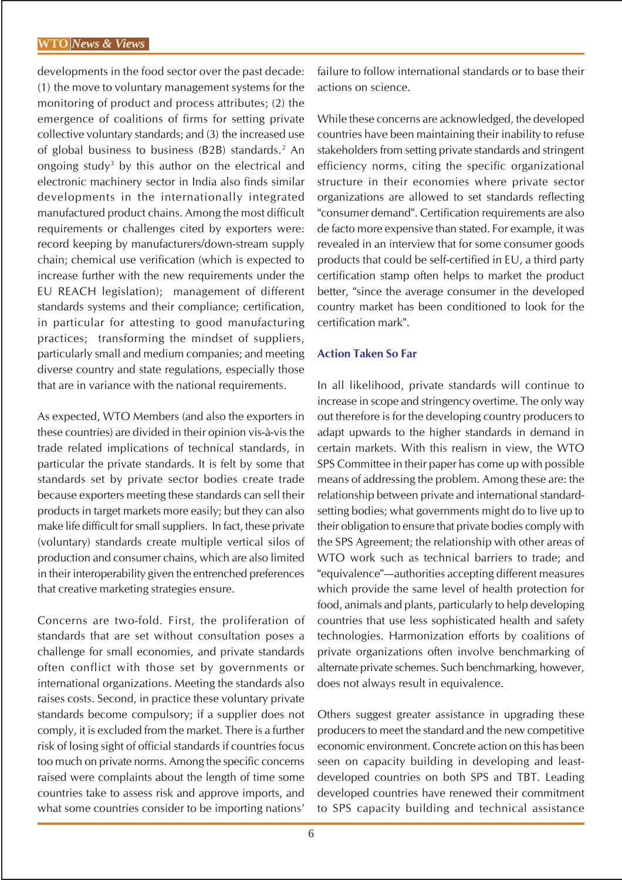developments in the food sector over the past decade: (1) the move to voluntary management systems for the monitoring of product and process attributes; (2) the emergence of coalitions of firms for setting private collective voluntary standards; and (3) the increased use of global business to business (B2B) standards.<sup>2</sup> An ongoing study<sup>3</sup> by this author on the electrical and electronic machinery sector in India also finds similar developments in the internationally integrated manufactured product chains. Among the most difficult requirements or challenges cited by exporters were: record keeping by manufacturers/down-stream supply chain; chemical use verification (which is expected to increase further with the new requirements under the EU REACH legislation); management of different standards systems and their compliance; certification, in particular for attesting to good manufacturing practices; transforming the mindset of suppliers, particularly small and medium companies; and meeting diverse country and state regulations, especially those that are in variance with the national requirements.

As expected, WTO Members (and also the exporters in these countries) are divided in their opinion vis-à-vis the trade related implications of technical standards, in particular the private standards. It is felt by some that standards set by private sector bodies create trade because exporters meeting these standards can sell their products in target markets more easily; but they can also make life difficult for small suppliers. In fact, these private (voluntary) standards create multiple vertical silos of production and consumer chains, which are also limited in their interoperability given the entrenched preferences that creative marketing strategies ensure.

Concerns are two-fold. First, the proliferation of standards that are set without consultation poses a challenge for small economies, and private standards often conflict with those set by governments or international organizations. Meeting the standards also raises costs. Second, in practice these voluntary private standards become compulsory; if a supplier does not comply, it is excluded from the market. There is a further risk of losing sight of official standards if countries focus too much on private norms. Among the specific concerns raised were complaints about the length of time some countries take to assess risk and approve imports, and what some countries consider to be importing nations'

failure to follow international standards or to base their actions on science.

While these concerns are acknowledged, the developed countries have been maintaining their inability to refuse stakeholders from setting private standards and stringent efficiency norms, citing the specific organizational structure in their economies where private sector organizations are allowed to set standards reflecting "consumer demand". Certification requirements are also de facto more expensive than stated. For example, it was revealed in an interview that for some consumer goods products that could be self-certified in EU, a third party certification stamp often helps to market the product better, "since the average consumer in the developed country market has been conditioned to look for the certification mark".

#### **Action Taken So Far**

In all likelihood, private standards will continue to increase in scope and stringency overtime. The only way out therefore is for the developing country producers to adapt upwards to the higher standards in demand in certain markets. With this realism in view, the WTO SPS Committee in their paper has come up with possible means of addressing the problem. Among these are: the relationship between private and international standardsetting bodies; what governments might do to live up to their obligation to ensure that private bodies comply with the SPS Agreement; the relationship with other areas of WTO work such as technical barriers to trade; and "equivalence"—authorities accepting different measures which provide the same level of health protection for food, animals and plants, particularly to help developing countries that use less sophisticated health and safety technologies. Harmonization efforts by coalitions of private organizations often involve benchmarking of alternate private schemes. Such benchmarking, however, does not always result in equivalence.

Others suggest greater assistance in upgrading these producers to meet the standard and the new competitive economic environment. Concrete action on this has been seen on capacity building in developing and leastdeveloped countries on both SPS and TBT. Leading developed countries have renewed their commitment to SPS capacity building and technical assistance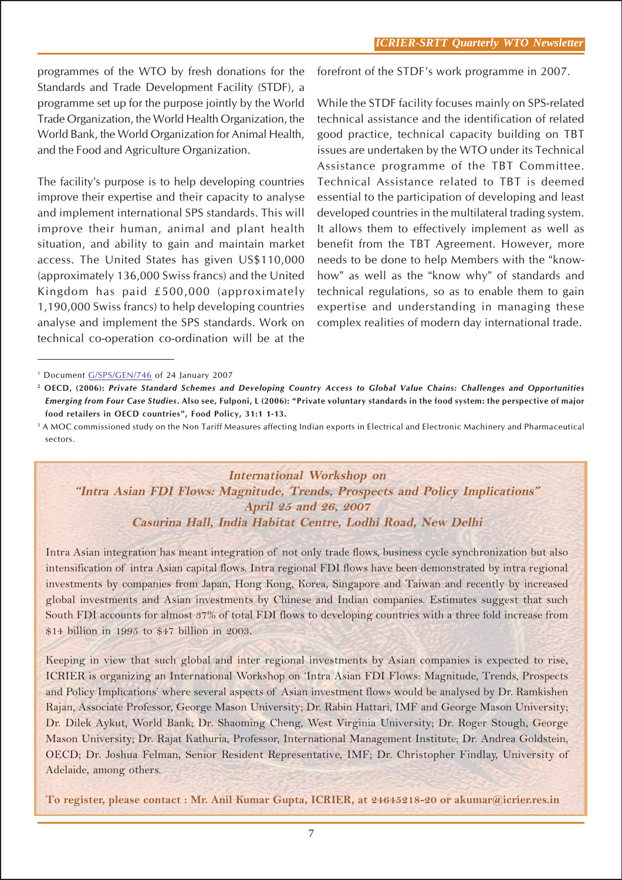programmes of the WTO by fresh donations for the Standards and Trade Development Facility (STDF), a programme set up for the purpose jointly by the World Trade Organization, the World Health Organization, the World Bank, the World Organization for Animal Health, and the Food and Agriculture Organization.

The facility's purpose is to help developing countries improve their expertise and their capacity to analyse and implement international SPS standards. This will improve their human, animal and plant health situation, and ability to gain and maintain market access. The United States has given US\$110,000 (approximately 136,000 Swiss francs) and the United Kingdom has paid £500,000 (approximately 1,190,000 Swiss francs) to help developing countries analyse and implement the SPS standards. Work on technical co-operation co-ordination will be at the

forefront of the STDF's work programme in 2007.

While the STDF facility focuses mainly on SPS-related technical assistance and the identification of related good practice, technical capacity building on TBT issues are undertaken by the WTO under its Technical Assistance programme of the TBT Committee. Technical Assistance related to TBT is deemed essential to the participation of developing and least developed countries in the multilateral trading system. It allows them to effectively implement as well as benefit from the TBT Agreement. However, more needs to be done to help Members with the "knowhow" as well as the "know why" of standards and technical regulations, so as to enable them to gain expertise and understanding in managing these complex realities of modern day international trade.

**International Workshop on "Intra Asian FDI Flows: Magnitude, Trends, Prospects and Policy Implications" April 25 and 26, 2007 Casurina Hall, India Habitat Centre, Lodhi Road, New Delhi**

Intra Asian integration has meant integration of not only trade flows, business cycle synchronization but also intensification of intra Asian capital flows. Intra regional FDI flows have been demonstrated by intra regional investments by companies from Japan, Hong Kong, Korea, Singapore and Taiwan and recently by increased global investments and Asian investments by Chinese and Indian companies. Estimates suggest that such South FDI accounts for almost 37% of total FDI flows to developing countries with a three fold increase from \$14 billion in 1995 to \$47 billion in 2003.

Keeping in view that such global and inter regional investments by Asian companies is expected to rise, ICRIER is organizing an International Workshop on 'Intra Asian FDI Flows: Magnitude, Trends, Prospects and Policy Implications' where several aspects of Asian investment flows would be analysed by Dr. Ramkishen Rajan, Associate Professor, George Mason University; Dr. Rabin Hattari, IMF and George Mason University; Dr. Dilek Aykut, World Bank; Dr. Shaoming Cheng, West Virginia University; Dr. Roger Stough, George Mason University; Dr. Rajat Kathuria, Professor, International Management Institute; Dr. Andrea Goldstein, OECD; Dr. Joshua Felman, Senior Resident Representative, IMF; Dr. Christopher Findlay, University of Adelaide, among others.

**To register, please contact : Mr. Anil Kumar Gupta, ICRIER, at 24645218-20 or akumar@icrier.res.in**

<sup>1</sup> Document G/SPS/GEN/746 of 24 January 2007

**<sup>2</sup> OECD, (2006):** *Private Standard Schemes and Developing Country Access to Global Value Chains: Challenges and Opportunities Emerging from Four Case Studies***. Also see, Fulponi, L (2006): "Private voluntary standards in the food system: the perspective of major food retailers in OECD countries", Food Policy, 31:1 1-13.**

<sup>&</sup>lt;sup>3</sup> A MOC commissioned study on the Non Tariff Measures affecting Indian exports in Electrical and Electronic Machinery and Pharmaceutical sectors.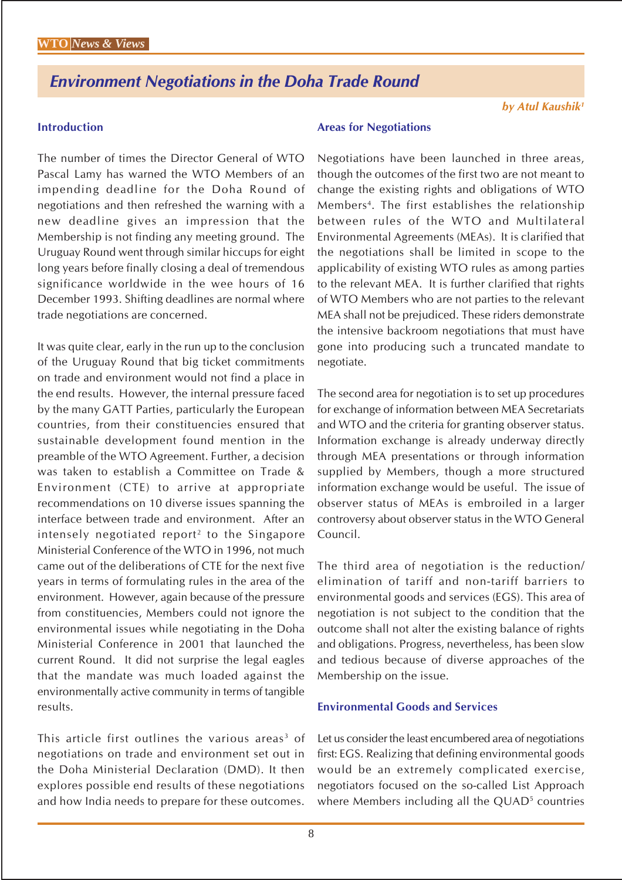# *Environment Negotiations in the Doha Trade Round*

## **Introduction**

The number of times the Director General of WTO Pascal Lamy has warned the WTO Members of an impending deadline for the Doha Round of negotiations and then refreshed the warning with a new deadline gives an impression that the Membership is not finding any meeting ground. The Uruguay Round went through similar hiccups for eight long years before finally closing a deal of tremendous significance worldwide in the wee hours of 16 December 1993. Shifting deadlines are normal where trade negotiations are concerned.

It was quite clear, early in the run up to the conclusion of the Uruguay Round that big ticket commitments on trade and environment would not find a place in the end results. However, the internal pressure faced by the many GATT Parties, particularly the European countries, from their constituencies ensured that sustainable development found mention in the preamble of the WTO Agreement. Further, a decision was taken to establish a Committee on Trade & Environment (CTE) to arrive at appropriate recommendations on 10 diverse issues spanning the interface between trade and environment. After an intensely negotiated report<sup>2</sup> to the Singapore Ministerial Conference of the WTO in 1996, not much came out of the deliberations of CTE for the next five years in terms of formulating rules in the area of the environment. However, again because of the pressure from constituencies, Members could not ignore the environmental issues while negotiating in the Doha Ministerial Conference in 2001 that launched the current Round. It did not surprise the legal eagles that the mandate was much loaded against the environmentally active community in terms of tangible results.

This article first outlines the various areas<sup>3</sup> of negotiations on trade and environment set out in the Doha Ministerial Declaration (DMD). It then explores possible end results of these negotiations and how India needs to prepare for these outcomes.

#### **Areas for Negotiations**

Negotiations have been launched in three areas, though the outcomes of the first two are not meant to change the existing rights and obligations of WTO Members<sup>4</sup>. The first establishes the relationship between rules of the WTO and Multilateral Environmental Agreements (MEAs). It is clarified that the negotiations shall be limited in scope to the applicability of existing WTO rules as among parties to the relevant MEA. It is further clarified that rights of WTO Members who are not parties to the relevant MEA shall not be prejudiced. These riders demonstrate the intensive backroom negotiations that must have gone into producing such a truncated mandate to negotiate.

The second area for negotiation is to set up procedures for exchange of information between MEA Secretariats and WTO and the criteria for granting observer status. Information exchange is already underway directly through MEA presentations or through information supplied by Members, though a more structured information exchange would be useful. The issue of observer status of MEAs is embroiled in a larger controversy about observer status in the WTO General Council.

The third area of negotiation is the reduction/ elimination of tariff and non-tariff barriers to environmental goods and services (EGS). This area of negotiation is not subject to the condition that the outcome shall not alter the existing balance of rights and obligations. Progress, nevertheless, has been slow and tedious because of diverse approaches of the Membership on the issue.

#### **Environmental Goods and Services**

Let us consider the least encumbered area of negotiations first: EGS. Realizing that defining environmental goods would be an extremely complicated exercise, negotiators focused on the so-called List Approach where Members including all the QUAD<sup>5</sup> countries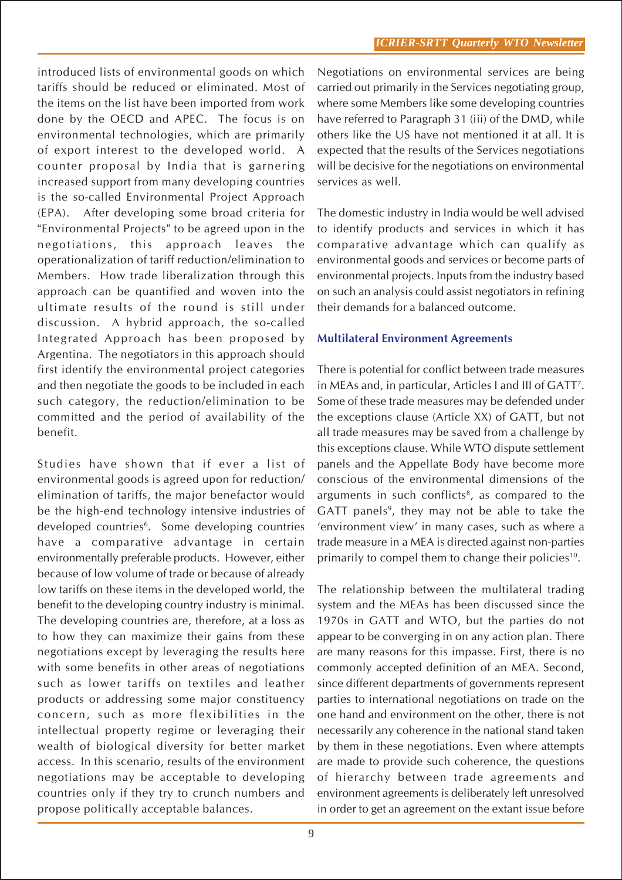introduced lists of environmental goods on which tariffs should be reduced or eliminated. Most of the items on the list have been imported from work done by the OECD and APEC. The focus is on environmental technologies, which are primarily of export interest to the developed world. A counter proposal by India that is garnering increased support from many developing countries is the so-called Environmental Project Approach (EPA). After developing some broad criteria for "Environmental Projects" to be agreed upon in the negotiations, this approach leaves the operationalization of tariff reduction/elimination to Members. How trade liberalization through this approach can be quantified and woven into the ultimate results of the round is still under discussion. A hybrid approach, the so-called Integrated Approach has been proposed by Argentina. The negotiators in this approach should first identify the environmental project categories and then negotiate the goods to be included in each such category, the reduction/elimination to be committed and the period of availability of the benefit.

Studies have shown that if ever a list of environmental goods is agreed upon for reduction/ elimination of tariffs, the major benefactor would be the high-end technology intensive industries of developed countries<sup>6</sup>. Some developing countries have a comparative advantage in certain environmentally preferable products. However, either because of low volume of trade or because of already low tariffs on these items in the developed world, the benefit to the developing country industry is minimal. The developing countries are, therefore, at a loss as to how they can maximize their gains from these negotiations except by leveraging the results here with some benefits in other areas of negotiations such as lower tariffs on textiles and leather products or addressing some major constituency concern, such as more flexibilities in the intellectual property regime or leveraging their wealth of biological diversity for better market access. In this scenario, results of the environment negotiations may be acceptable to developing countries only if they try to crunch numbers and propose politically acceptable balances.

Negotiations on environmental services are being carried out primarily in the Services negotiating group, where some Members like some developing countries have referred to Paragraph 31 (iii) of the DMD, while others like the US have not mentioned it at all. It is expected that the results of the Services negotiations will be decisive for the negotiations on environmental services as well.

The domestic industry in India would be well advised to identify products and services in which it has comparative advantage which can qualify as environmental goods and services or become parts of environmental projects. Inputs from the industry based on such an analysis could assist negotiators in refining their demands for a balanced outcome.

## **Multilateral Environment Agreements**

There is potential for conflict between trade measures in MEAs and, in particular, Articles I and III of GATT7 . Some of these trade measures may be defended under the exceptions clause (Article XX) of GATT, but not all trade measures may be saved from a challenge by this exceptions clause. While WTO dispute settlement panels and the Appellate Body have become more conscious of the environmental dimensions of the arguments in such conflicts<sup>8</sup>, as compared to the GATT panels<sup>9</sup>, they may not be able to take the 'environment view' in many cases, such as where a trade measure in a MEA is directed against non-parties primarily to compel them to change their policies<sup>10</sup>.

The relationship between the multilateral trading system and the MEAs has been discussed since the 1970s in GATT and WTO, but the parties do not appear to be converging in on any action plan. There are many reasons for this impasse. First, there is no commonly accepted definition of an MEA. Second, since different departments of governments represent parties to international negotiations on trade on the one hand and environment on the other, there is not necessarily any coherence in the national stand taken by them in these negotiations. Even where attempts are made to provide such coherence, the questions of hierarchy between trade agreements and environment agreements is deliberately left unresolved in order to get an agreement on the extant issue before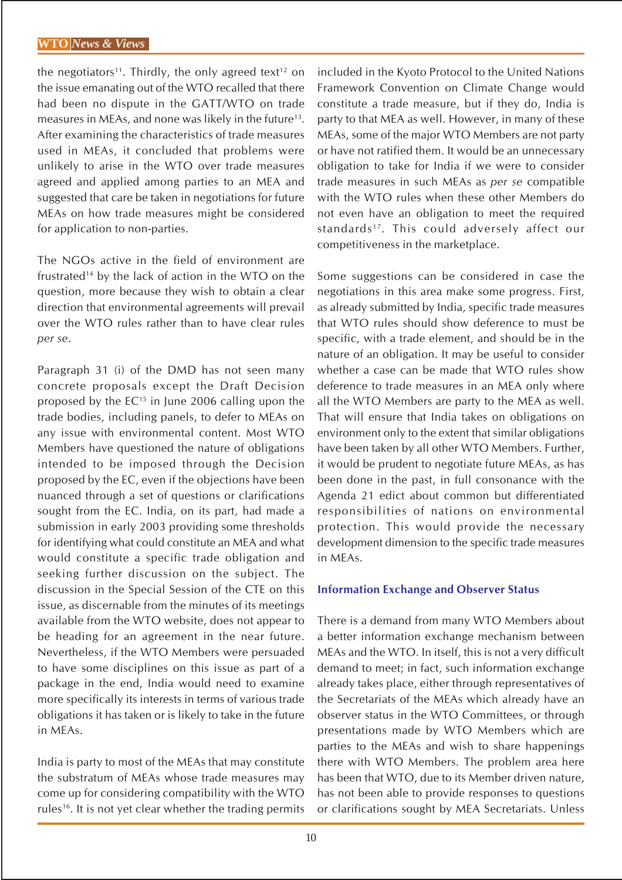the negotiators<sup>11</sup>. Thirdly, the only agreed text<sup>12</sup> on the issue emanating out of the WTO recalled that there had been no dispute in the GATT/WTO on trade measures in MEAs, and none was likely in the future<sup>13</sup>. After examining the characteristics of trade measures used in MEAs, it concluded that problems were unlikely to arise in the WTO over trade measures agreed and applied among parties to an MEA and suggested that care be taken in negotiations for future MEAs on how trade measures might be considered for application to non-parties.

The NGOs active in the field of environment are frustrated14 by the lack of action in the WTO on the question, more because they wish to obtain a clear direction that environmental agreements will prevail over the WTO rules rather than to have clear rules *per se*.

Paragraph 31 (i) of the DMD has not seen many concrete proposals except the Draft Decision proposed by the  $EC^{15}$  in June 2006 calling upon the trade bodies, including panels, to defer to MEAs on any issue with environmental content. Most WTO Members have questioned the nature of obligations intended to be imposed through the Decision proposed by the EC, even if the objections have been nuanced through a set of questions or clarifications sought from the EC. India, on its part, had made a submission in early 2003 providing some thresholds for identifying what could constitute an MEA and what would constitute a specific trade obligation and seeking further discussion on the subject. The discussion in the Special Session of the CTE on this issue, as discernable from the minutes of its meetings available from the WTO website, does not appear to be heading for an agreement in the near future. Nevertheless, if the WTO Members were persuaded to have some disciplines on this issue as part of a package in the end, India would need to examine more specifically its interests in terms of various trade obligations it has taken or is likely to take in the future in MEAs.

India is party to most of the MEAs that may constitute the substratum of MEAs whose trade measures may come up for considering compatibility with the WTO rules<sup>16</sup>. It is not yet clear whether the trading permits included in the Kyoto Protocol to the United Nations Framework Convention on Climate Change would constitute a trade measure, but if they do, India is party to that MEA as well. However, in many of these MEAs, some of the major WTO Members are not party or have not ratified them. It would be an unnecessary obligation to take for India if we were to consider trade measures in such MEAs as *per se* compatible with the WTO rules when these other Members do not even have an obligation to meet the required standards<sup>17</sup>. This could adversely affect our competitiveness in the marketplace.

Some suggestions can be considered in case the negotiations in this area make some progress. First, as already submitted by India, specific trade measures that WTO rules should show deference to must be specific, with a trade element, and should be in the nature of an obligation. It may be useful to consider whether a case can be made that WTO rules show deference to trade measures in an MEA only where all the WTO Members are party to the MEA as well. That will ensure that India takes on obligations on environment only to the extent that similar obligations have been taken by all other WTO Members. Further, it would be prudent to negotiate future MEAs, as has been done in the past, in full consonance with the Agenda 21 edict about common but differentiated responsibilities of nations on environmental protection. This would provide the necessary development dimension to the specific trade measures in MEAs.

#### **Information Exchange and Observer Status**

There is a demand from many WTO Members about a better information exchange mechanism between MEAs and the WTO. In itself, this is not a very difficult demand to meet; in fact, such information exchange already takes place, either through representatives of the Secretariats of the MEAs which already have an observer status in the WTO Committees, or through presentations made by WTO Members which are parties to the MEAs and wish to share happenings there with WTO Members. The problem area here has been that WTO, due to its Member driven nature, has not been able to provide responses to questions or clarifications sought by MEA Secretariats. Unless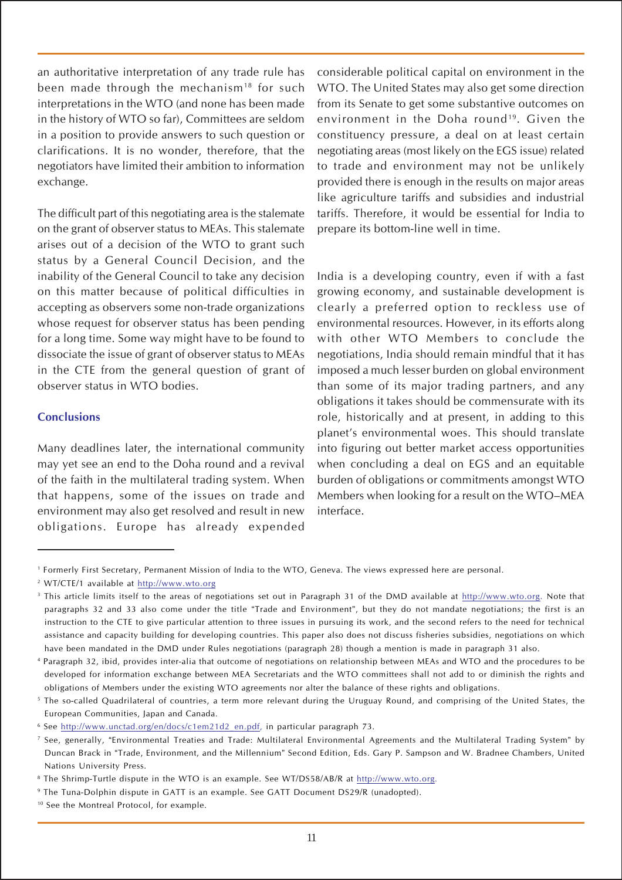an authoritative interpretation of any trade rule has been made through the mechanism<sup>18</sup> for such interpretations in the WTO (and none has been made in the history of WTO so far), Committees are seldom in a position to provide answers to such question or clarifications. It is no wonder, therefore, that the negotiators have limited their ambition to information exchange.

The difficult part of this negotiating area is the stalemate on the grant of observer status to MEAs. This stalemate arises out of a decision of the WTO to grant such status by a General Council Decision, and the inability of the General Council to take any decision on this matter because of political difficulties in accepting as observers some non-trade organizations whose request for observer status has been pending for a long time. Some way might have to be found to dissociate the issue of grant of observer status to MEAs in the CTE from the general question of grant of observer status in WTO bodies.

#### **Conclusions**

Many deadlines later, the international community may yet see an end to the Doha round and a revival of the faith in the multilateral trading system. When that happens, some of the issues on trade and environment may also get resolved and result in new obligations. Europe has already expended

considerable political capital on environment in the WTO. The United States may also get some direction from its Senate to get some substantive outcomes on environment in the Doha round<sup>19</sup>. Given the constituency pressure, a deal on at least certain negotiating areas (most likely on the EGS issue) related to trade and environment may not be unlikely provided there is enough in the results on major areas like agriculture tariffs and subsidies and industrial tariffs. Therefore, it would be essential for India to prepare its bottom-line well in time.

India is a developing country, even if with a fast growing economy, and sustainable development is clearly a preferred option to reckless use of environmental resources. However, in its efforts along with other WTO Members to conclude the negotiations, India should remain mindful that it has imposed a much lesser burden on global environment than some of its major trading partners, and any obligations it takes should be commensurate with its role, historically and at present, in adding to this planet's environmental woes. This should translate into figuring out better market access opportunities when concluding a deal on EGS and an equitable burden of obligations or commitments amongst WTO Members when looking for a result on the WTO–MEA interface.

<sup>1</sup> Formerly First Secretary, Permanent Mission of India to the WTO, Geneva. The views expressed here are personal.

<sup>2</sup> WT/CTE/1 available at http://www.wto.org

<sup>&</sup>lt;sup>3</sup> This article limits itself to the areas of negotiations set out in Paragraph 31 of the DMD available at http://www.wto.org. Note that paragraphs 32 and 33 also come under the title "Trade and Environment", but they do not mandate negotiations; the first is an instruction to the CTE to give particular attention to three issues in pursuing its work, and the second refers to the need for technical assistance and capacity building for developing countries. This paper also does not discuss fisheries subsidies, negotiations on which have been mandated in the DMD under Rules negotiations (paragraph 28) though a mention is made in paragraph 31 also.

<sup>4</sup> Paragraph 32, ibid, provides inter-alia that outcome of negotiations on relationship between MEAs and WTO and the procedures to be developed for information exchange between MEA Secretariats and the WTO committees shall not add to or diminish the rights and obligations of Members under the existing WTO agreements nor alter the balance of these rights and obligations.

<sup>&</sup>lt;sup>5</sup> The so-called Quadrilateral of countries, a term more relevant during the Uruguay Round, and comprising of the United States, the European Communities, Japan and Canada.

<sup>6</sup> See http://www.unctad.org/en/docs/c1em21d2\_en.pdf, in particular paragraph 73.

<sup>7</sup> See, generally, "Environmental Treaties and Trade: Multilateral Environmental Agreements and the Multilateral Trading System" by Duncan Brack in "Trade, Environment, and the Millennium" Second Edition, Eds. Gary P. Sampson and W. Bradnee Chambers, United Nations University Press.

<sup>8</sup> The Shrimp-Turtle dispute in the WTO is an example. See WT/DS58/AB/R at http://www.wto.org.

<sup>9</sup> The Tuna-Dolphin dispute in GATT is an example. See GATT Document DS29/R (unadopted).

<sup>&</sup>lt;sup>10</sup> See the Montreal Protocol, for example.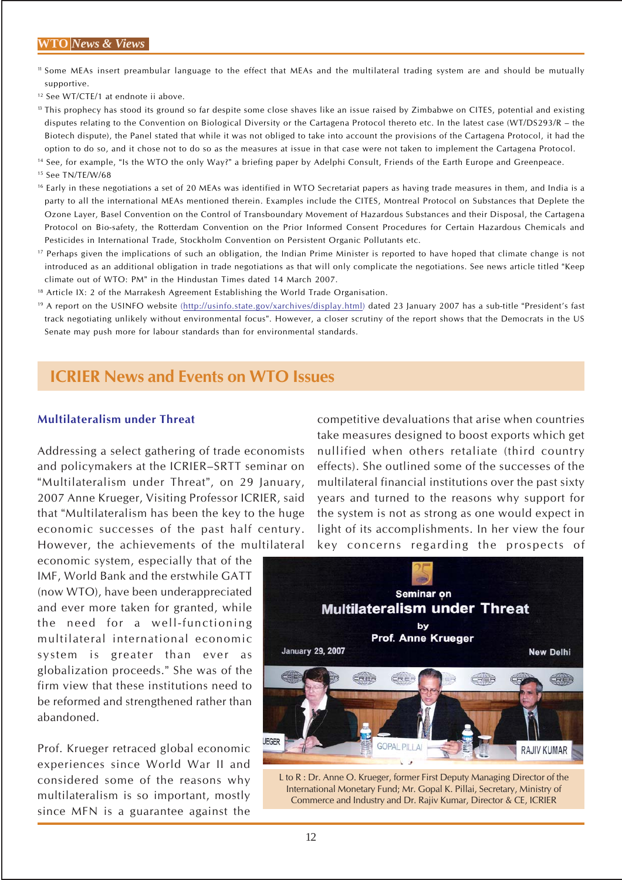#### **WTO** *News & Views*

- <sup>11</sup> Some MEAs insert preambular language to the effect that MEAs and the multilateral trading system are and should be mutually supportive.
- <sup>12</sup> See WT/CTE/1 at endnote ii above.
- <sup>13</sup> This prophecy has stood its ground so far despite some close shaves like an issue raised by Zimbabwe on CITES, potential and existing disputes relating to the Convention on Biological Diversity or the Cartagena Protocol thereto etc. In the latest case (WT/DS293/R – the Biotech dispute), the Panel stated that while it was not obliged to take into account the provisions of the Cartagena Protocol, it had the option to do so, and it chose not to do so as the measures at issue in that case were not taken to implement the Cartagena Protocol.

14 See, for example, "Is the WTO the only Way?" a briefing paper by Adelphi Consult, Friends of the Earth Europe and Greenpeace.

- 15 See TN/TE/W/68
- <sup>16</sup> Early in these negotiations a set of 20 MEAs was identified in WTO Secretariat papers as having trade measures in them, and India is a party to all the international MEAs mentioned therein. Examples include the CITES, Montreal Protocol on Substances that Deplete the Ozone Layer, Basel Convention on the Control of Transboundary Movement of Hazardous Substances and their Disposal, the Cartagena Protocol on Bio-safety, the Rotterdam Convention on the Prior Informed Consent Procedures for Certain Hazardous Chemicals and Pesticides in International Trade, Stockholm Convention on Persistent Organic Pollutants etc.
- <sup>17</sup> Perhaps given the implications of such an obligation, the Indian Prime Minister is reported to have hoped that climate change is not introduced as an additional obligation in trade negotiations as that will only complicate the negotiations. See news article titled "Keep climate out of WTO: PM" in the Hindustan Times dated 14 March 2007.
- <sup>18</sup> Article IX: 2 of the Marrakesh Agreement Establishing the World Trade Organisation.
- 19 A report on the USINFO website (http://usinfo.state.gov/xarchives/display.html) dated 23 January 2007 has a sub-title "President's fast track negotiating unlikely without environmental focus". However, a closer scrutiny of the report shows that the Democrats in the US Senate may push more for labour standards than for environmental standards.

# **ICRIER News and Events on WTO Issues**

#### **Multilateralism under Threat**

Addressing a select gathering of trade economists and policymakers at the ICRIER–SRTT seminar on "Multilateralism under Threat", on 29 January, 2007 Anne Krueger, Visiting Professor ICRIER, said that "Multilateralism has been the key to the huge economic successes of the past half century. However, the achievements of the multilateral

economic system, especially that of the IMF, World Bank and the erstwhile GATT (now WTO), have been underappreciated and ever more taken for granted, while the need for a well-functioning multilateral international economic system is greater than ever as globalization proceeds." She was of the firm view that these institutions need to be reformed and strengthened rather than abandoned.

Prof. Krueger retraced global economic experiences since World War II and considered some of the reasons why multilateralism is so important, mostly since MFN is a guarantee against the

competitive devaluations that arise when countries take measures designed to boost exports which get nullified when others retaliate (third country effects). She outlined some of the successes of the multilateral financial institutions over the past sixty years and turned to the reasons why support for the system is not as strong as one would expect in light of its accomplishments. In her view the four key concerns regarding the prospects of



L to R : Dr. Anne O. Krueger, former First Deputy Managing Director of the International Monetary Fund; Mr. Gopal K. Pillai, Secretary, Ministry of Commerce and Industry and Dr. Rajiv Kumar, Director & CE, ICRIER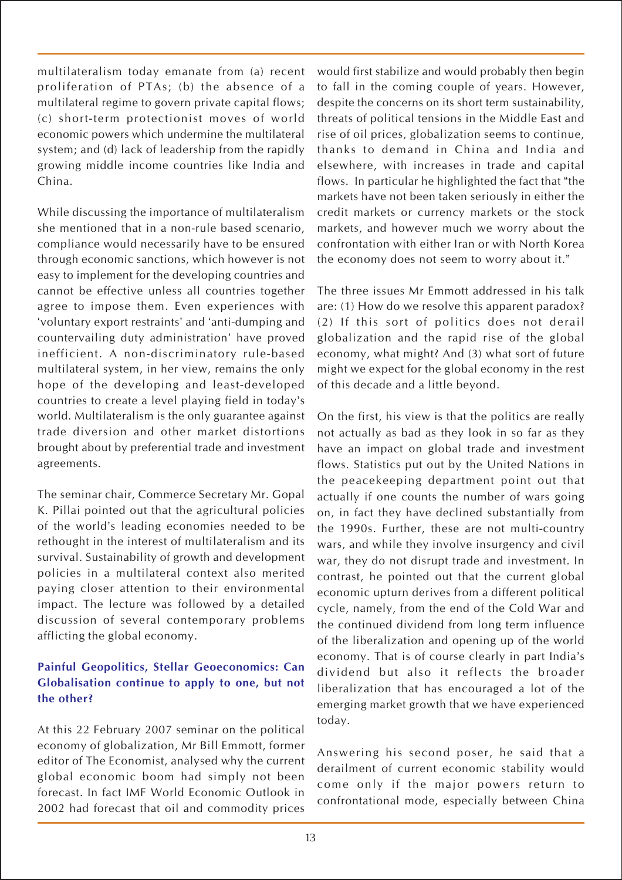multilateralism today emanate from (a) recent proliferation of PTAs; (b) the absence of a multilateral regime to govern private capital flows; (c) short-term protectionist moves of world economic powers which undermine the multilateral system; and (d) lack of leadership from the rapidly growing middle income countries like India and China.

While discussing the importance of multilateralism she mentioned that in a non-rule based scenario, compliance would necessarily have to be ensured through economic sanctions, which however is not easy to implement for the developing countries and cannot be effective unless all countries together agree to impose them. Even experiences with 'voluntary export restraints' and 'anti-dumping and countervailing duty administration' have proved inefficient. A non-discriminatory rule-based multilateral system, in her view, remains the only hope of the developing and least-developed countries to create a level playing field in today's world. Multilateralism is the only guarantee against trade diversion and other market distortions brought about by preferential trade and investment agreements.

The seminar chair, Commerce Secretary Mr. Gopal K. Pillai pointed out that the agricultural policies of the world's leading economies needed to be rethought in the interest of multilateralism and its survival. Sustainability of growth and development policies in a multilateral context also merited paying closer attention to their environmental impact. The lecture was followed by a detailed discussion of several contemporary problems afflicting the global economy.

## **Painful Geopolitics, Stellar Geoeconomics: Can Globalisation continue to apply to one, but not the other?**

At this 22 February 2007 seminar on the political economy of globalization, Mr Bill Emmott, former editor of The Economist, analysed why the current global economic boom had simply not been forecast. In fact IMF World Economic Outlook in 2002 had forecast that oil and commodity prices

would first stabilize and would probably then begin to fall in the coming couple of years. However, despite the concerns on its short term sustainability, threats of political tensions in the Middle East and rise of oil prices, globalization seems to continue, thanks to demand in China and India and elsewhere, with increases in trade and capital flows. In particular he highlighted the fact that "the markets have not been taken seriously in either the credit markets or currency markets or the stock markets, and however much we worry about the confrontation with either Iran or with North Korea the economy does not seem to worry about it."

The three issues Mr Emmott addressed in his talk are: (1) How do we resolve this apparent paradox? (2) If this sort of politics does not derail globalization and the rapid rise of the global economy, what might? And (3) what sort of future might we expect for the global economy in the rest of this decade and a little beyond.

On the first, his view is that the politics are really not actually as bad as they look in so far as they have an impact on global trade and investment flows. Statistics put out by the United Nations in the peacekeeping department point out that actually if one counts the number of wars going on, in fact they have declined substantially from the 1990s. Further, these are not multi-country wars, and while they involve insurgency and civil war, they do not disrupt trade and investment. In contrast, he pointed out that the current global economic upturn derives from a different political cycle, namely, from the end of the Cold War and the continued dividend from long term influence of the liberalization and opening up of the world economy. That is of course clearly in part India's dividend but also it reflects the broader liberalization that has encouraged a lot of the emerging market growth that we have experienced today.

Answering his second poser, he said that a derailment of current economic stability would come only if the major powers return to confrontational mode, especially between China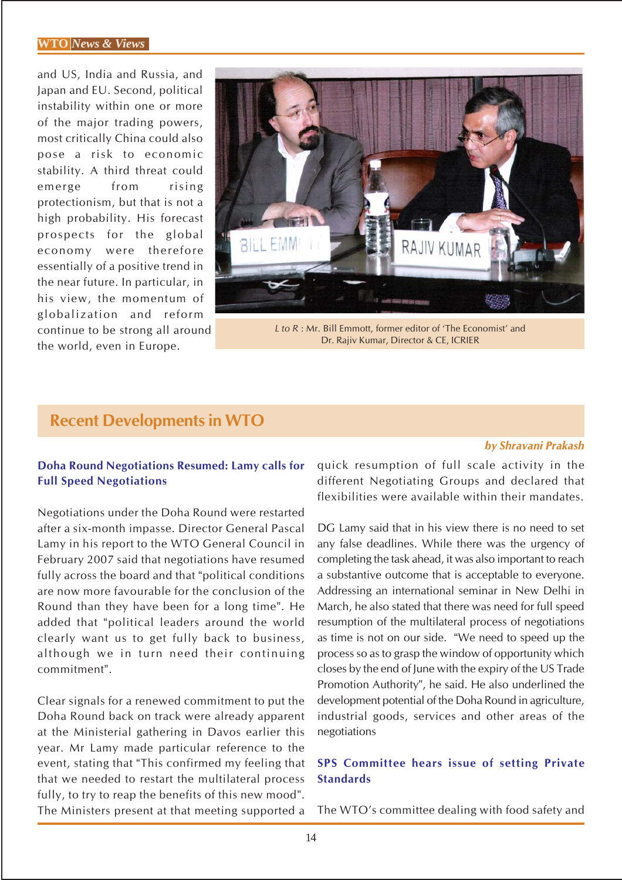#### **WTO** *News & Views*

and US, India and Russia, and Japan and EU. Second, political instability within one or more of the major trading powers, most critically China could also pose a risk to economic stability. A third threat could emerge from rising protectionism, but that is not a high probability. His forecast prospects for the global economy were therefore essentially of a positive trend in the near future. In particular, in his view, the momentum of globalization and reform continue to be strong all around the world, even in Europe.



*L to R* : Mr. Bill Emmott, former editor of 'The Economist' and Dr. Rajiv Kumar, Director & CE, ICRIER

# **Recent Developments in WTO**

#### *by Shravani Prakash*

## **Doha Round Negotiations Resumed: Lamy calls for Full Speed Negotiations**

Negotiations under the Doha Round were restarted after a six-month impasse. Director General Pascal Lamy in his report to the WTO General Council in February 2007 said that negotiations have resumed fully across the board and that "political conditions are now more favourable for the conclusion of the Round than they have been for a long time". He added that "political leaders around the world clearly want us to get fully back to business, although we in turn need their continuing commitment".

Clear signals for a renewed commitment to put the Doha Round back on track were already apparent at the Ministerial gathering in Davos earlier this year. Mr Lamy made particular reference to the event, stating that "This confirmed my feeling that that we needed to restart the multilateral process fully, to try to reap the benefits of this new mood". The Ministers present at that meeting supported a quick resumption of full scale activity in the different Negotiating Groups and declared that flexibilities were available within their mandates.

DG Lamy said that in his view there is no need to set any false deadlines. While there was the urgency of completing the task ahead, it was also important to reach a substantive outcome that is acceptable to everyone. Addressing an international seminar in New Delhi in March, he also stated that there was need for full speed resumption of the multilateral process of negotiations as time is not on our side. "We need to speed up the process so as to grasp the window of opportunity which closes by the end of June with the expiry of the US Trade Promotion Authority", he said. He also underlined the development potential of the Doha Round in agriculture, industrial goods, services and other areas of the negotiations

## **SPS Committee hears issue of setting Private Standards**

The WTO's committee dealing with food safety and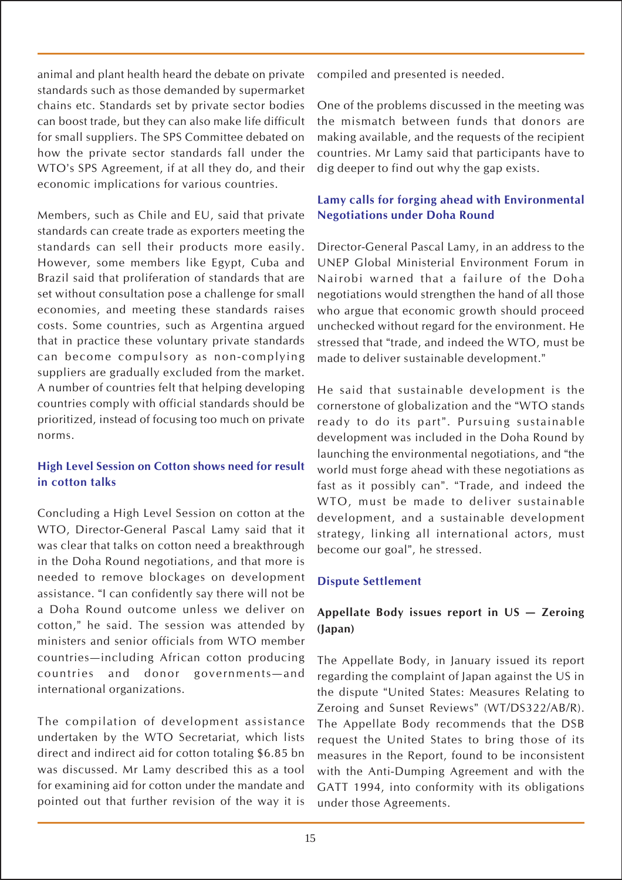animal and plant health heard the debate on private standards such as those demanded by supermarket chains etc. Standards set by private sector bodies can boost trade, but they can also make life difficult for small suppliers. The SPS Committee debated on how the private sector standards fall under the WTO's SPS Agreement, if at all they do, and their economic implications for various countries.

Members, such as Chile and EU, said that private standards can create trade as exporters meeting the standards can sell their products more easily. However, some members like Egypt, Cuba and Brazil said that proliferation of standards that are set without consultation pose a challenge for small economies, and meeting these standards raises costs. Some countries, such as Argentina argued that in practice these voluntary private standards can become compulsory as non-complying suppliers are gradually excluded from the market. A number of countries felt that helping developing countries comply with official standards should be prioritized, instead of focusing too much on private norms.

## **High Level Session on Cotton shows need for result in cotton talks**

Concluding a High Level Session on cotton at the WTO, Director-General Pascal Lamy said that it was clear that talks on cotton need a breakthrough in the Doha Round negotiations, and that more is needed to remove blockages on development assistance. "I can confidently say there will not be a Doha Round outcome unless we deliver on cotton," he said. The session was attended by ministers and senior officials from WTO member countries—including African cotton producing countries and donor governments—and international organizations.

The compilation of development assistance undertaken by the WTO Secretariat, which lists direct and indirect aid for cotton totaling \$6.85 bn was discussed. Mr Lamy described this as a tool for examining aid for cotton under the mandate and pointed out that further revision of the way it is

compiled and presented is needed.

One of the problems discussed in the meeting was the mismatch between funds that donors are making available, and the requests of the recipient countries. Mr Lamy said that participants have to dig deeper to find out why the gap exists.

# **Lamy calls for forging ahead with Environmental Negotiations under Doha Round**

Director-General Pascal Lamy, in an address to the UNEP Global Ministerial Environment Forum in Nairobi warned that a failure of the Doha negotiations would strengthen the hand of all those who argue that economic growth should proceed unchecked without regard for the environment. He stressed that "trade, and indeed the WTO, must be made to deliver sustainable development."

He said that sustainable development is the cornerstone of globalization and the "WTO stands ready to do its part". Pursuing sustainable development was included in the Doha Round by launching the environmental negotiations, and "the world must forge ahead with these negotiations as fast as it possibly can". "Trade, and indeed the WTO, must be made to deliver sustainable development, and a sustainable development strategy, linking all international actors, must become our goal", he stressed.

## **Dispute Settlement**

# **Appellate Body issues report in US — Zeroing (Japan)**

The Appellate Body, in January issued its report regarding the complaint of Japan against the US in the dispute "United States: Measures Relating to Zeroing and Sunset Reviews" (WT/DS322/AB/R). The Appellate Body recommends that the DSB request the United States to bring those of its measures in the Report, found to be inconsistent with the Anti-Dumping Agreement and with the GATT 1994, into conformity with its obligations under those Agreements.